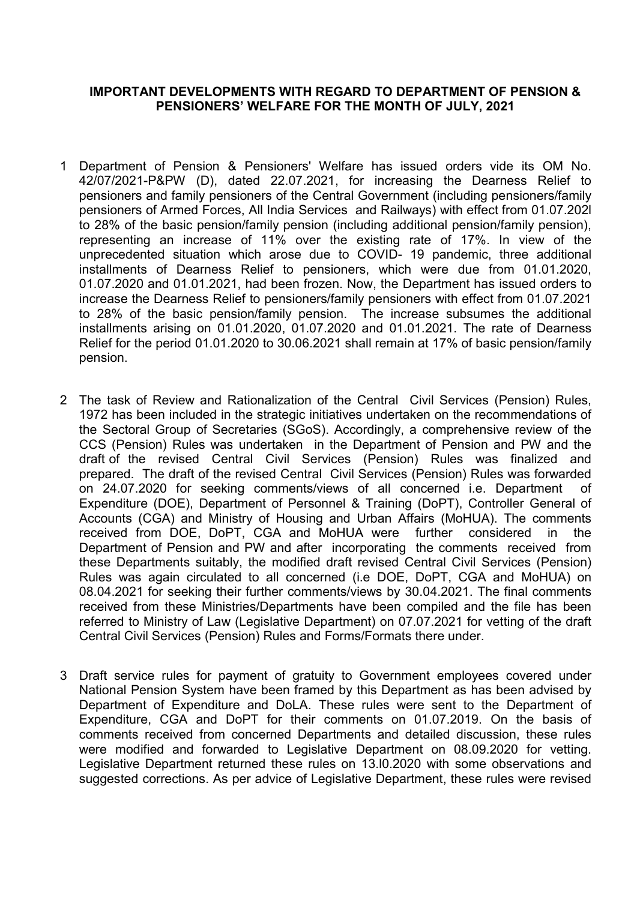## IMPORTANT DEVELOPMENTS WITH REGARD TO DEPARTMENT OF PENSION & PENSIONERS' WELFARE FOR THE MONTH OF JULY, 2021

- 1 Department of Pension & Pensioners' Welfare has issued orders vide its OM No. 42/07/2021-P&PW (D), dated 22.07.2021, for increasing the Dearness Relief to pensioners and family pensioners of the Central Government (including pensioners/family pensioners of Armed Forces, All India Services and Railways) with effect from 01.07.202l to 28% of the basic pension/family pension (including additional pension/family pension), representing an increase of 11% over the existing rate of 17%. In view of the unprecedented situation which arose due to COVID- 19 pandemic, three additional installments of Dearness Relief to pensioners, which were due from 01.01.2020, 01.07.2020 and 01.01.2021, had been frozen. Now, the Department has issued orders to increase the Dearness Relief to pensioners/family pensioners with effect from 01.07.2021 to 28% of the basic pension/family pension. The increase subsumes the additional installments arising on 01.01.2020, 01.07.2020 and 01.01.2021. The rate of Dearness Relief for the period 01.01.2020 to 30.06.2021 shall remain at 17% of basic pension/family pension.
- 2 The task of Review and Rationalization of the Central Civil Services (Pension) Rules, 1972 has been included in the strategic initiatives undertaken on the recommendations of the Sectoral Group of Secretaries (SGoS). Accordingly, a comprehensive review of the CCS (Pension) Rules was undertaken in the Department of Pension and PW and the draft of the revised Central Civil Services (Pension) Rules was finalized and prepared. The draft of the revised Central Civil Services (Pension) Rules was forwarded on 24.07.2020 for seeking comments/views of all concerned i.e. Department Expenditure (DOE), Department of Personnel & Training (DoPT), Controller General of Accounts (CGA) and Ministry of Housing and Urban Affairs (MoHUA). The comments received from DOE, DoPT, CGA and MoHUA were further considered in the Department of Pension and PW and after incorporating the comments received from these Departments suitably, the modified draft revised Central Civil Services (Pension) Rules was again circulated to all concerned (i.e DOE, DoPT, CGA and MoHUA) on 08.04.2021 for seeking their further comments/views by 30.04.2021. The final comments received from these Ministries/Departments have been compiled and the file has been referred to Ministry of Law (Legislative Department) on 07.07.2021 for vetting of the draft Central Civil Services (Pension) Rules and Forms/Formats there under.
- 3 Draft service rules for payment of gratuity to Government employees covered under National Pension System have been framed by this Department as has been advised by Department of Expenditure and DoLA. These rules were sent to the Department of Expenditure, CGA and DoPT for their comments on 01.07.2019. On the basis of comments received from concerned Departments and detailed discussion, these rules were modified and forwarded to Legislative Department on 08.09.2020 for vetting. Legislative Department returned these rules on 13.l0.2020 with some observations and suggested corrections. As per advice of Legislative Department, these rules were revised